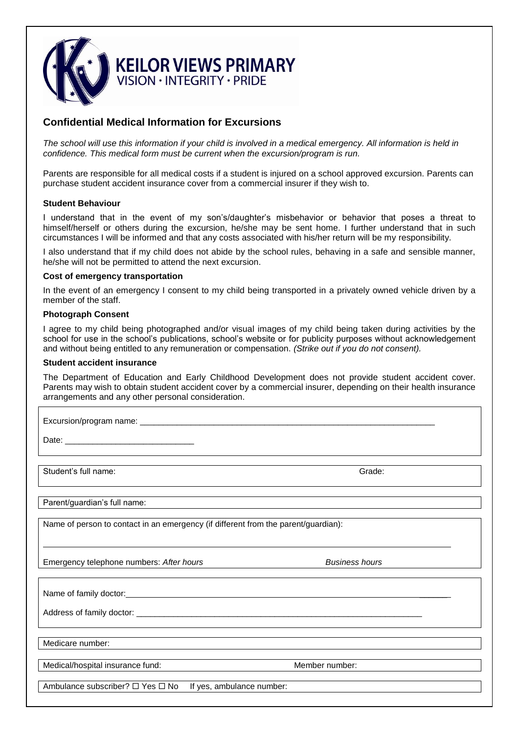

# **Confidential Medical Information for Excursions**

*The school will use this information if your child is involved in a medical emergency. All information is held in confidence. This medical form must be current when the excursion/program is run.*

Parents are responsible for all medical costs if a student is injured on a school approved excursion. Parents can purchase student accident insurance cover from a commercial insurer if they wish to.

## **Student Behaviour**

I understand that in the event of my son's/daughter's misbehavior or behavior that poses a threat to himself/herself or others during the excursion, he/she may be sent home. I further understand that in such circumstances I will be informed and that any costs associated with his/her return will be my responsibility.

I also understand that if my child does not abide by the school rules, behaving in a safe and sensible manner, he/she will not be permitted to attend the next excursion.

### **Cost of emergency transportation**

In the event of an emergency I consent to my child being transported in a privately owned vehicle driven by a member of the staff.

### **Photograph Consent**

I agree to my child being photographed and/or visual images of my child being taken during activities by the school for use in the school's publications, school's website or for publicity purposes without acknowledgement and without being entitled to any remuneration or compensation. *(Strike out if you do not consent).*

#### **Student accident insurance**

The Department of Education and Early Childhood Development does not provide student accident cover. Parents may wish to obtain student accident cover by a commercial insurer, depending on their health insurance arrangements and any other personal consideration.

Excursion/program name: \_\_\_\_\_\_\_\_\_\_\_\_\_\_\_\_\_\_\_\_\_\_\_\_\_\_\_\_\_\_\_\_\_\_\_\_\_\_\_\_\_\_\_\_\_\_\_\_\_\_\_\_\_\_\_\_\_\_\_\_\_\_\_\_

Date:

Student's full name: Grade:

Parent/guardian's full name:

Name of person to contact in an emergency (if different from the parent/guardian):

Emergency telephone numbers: *After hours Business hours*

Name of family doctor:

Address of family doctor: \_\_

Medicare number:

Medical/hospital insurance fund: Member number:

Ambulance subscriber?  $\Box$  Yes  $\Box$  No If yes, ambulance number: